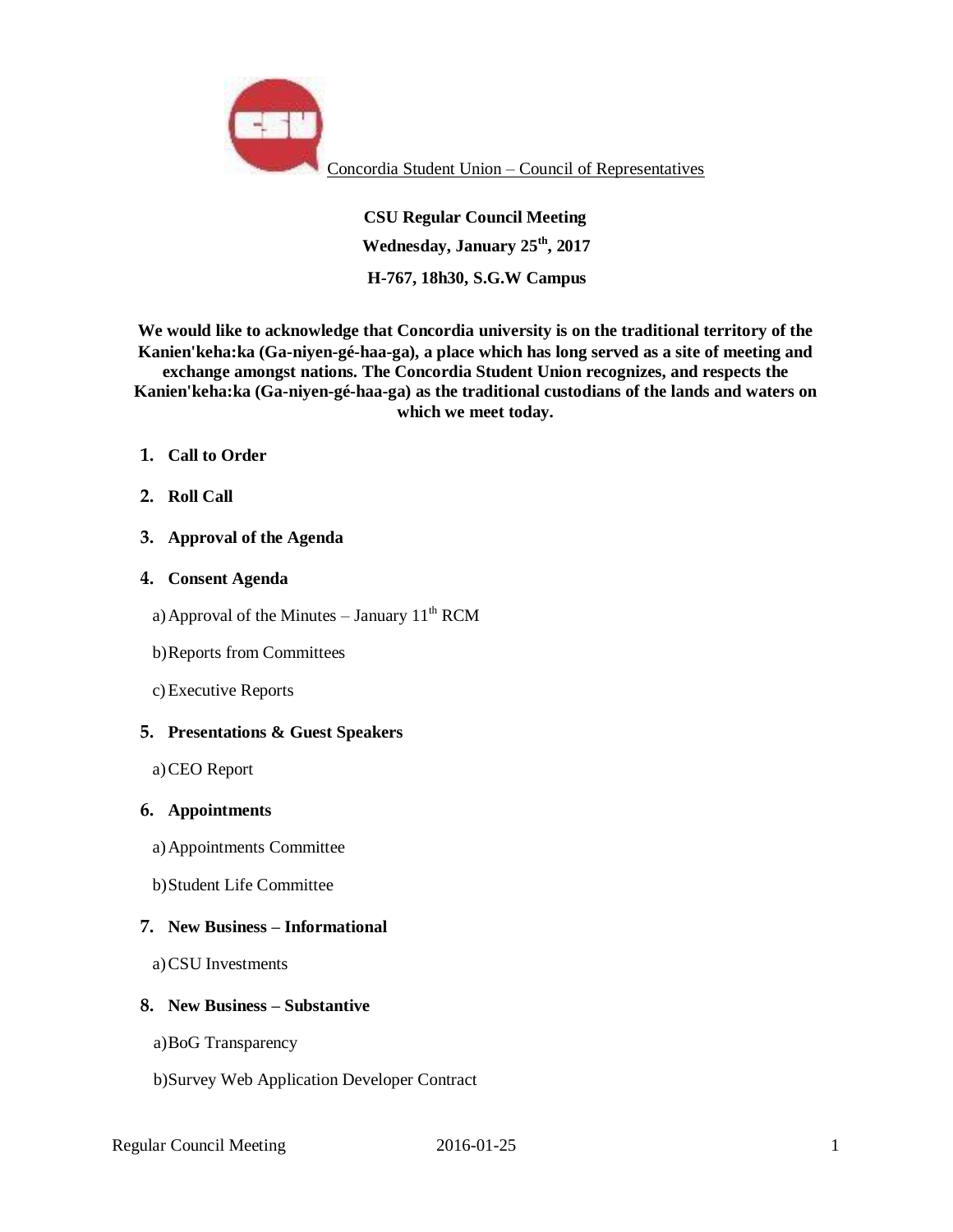

Concordia Student Union – Council of Representatives

**CSU Regular Council Meeting Wednesday, January 25th, 2017 H-767, 18h30, S.G.W Campus** 

**We would like to acknowledge that Concordia university is on the traditional territory of the Kanien'keha:ka (Ga-niyen-gé-haa-ga), a place which has long served as a site of meeting and exchange amongst nations. The Concordia Student Union recognizes, and respects the Kanien'keha:ka (Ga-niyen-gé-haa-ga) as the traditional custodians of the lands and waters on which we meet today.**

- **1. Call to Order**
- **2. Roll Call**
- **3. Approval of the Agenda**

### **4. Consent Agenda**

- a) Approval of the Minutes January  $11<sup>th</sup> RCM$
- b)Reports from Committees
- c)Executive Reports

### **5. Presentations & Guest Speakers**

a)CEO Report

#### **6. Appointments**

- a)Appointments Committee
- b)Student Life Committee

# **7. New Business – Informational**

a)CSU Investments

### **8. New Business – Substantive**

- a)BoG Transparency
- b)Survey Web Application Developer Contract

Regular Council Meeting 2016-01-25 1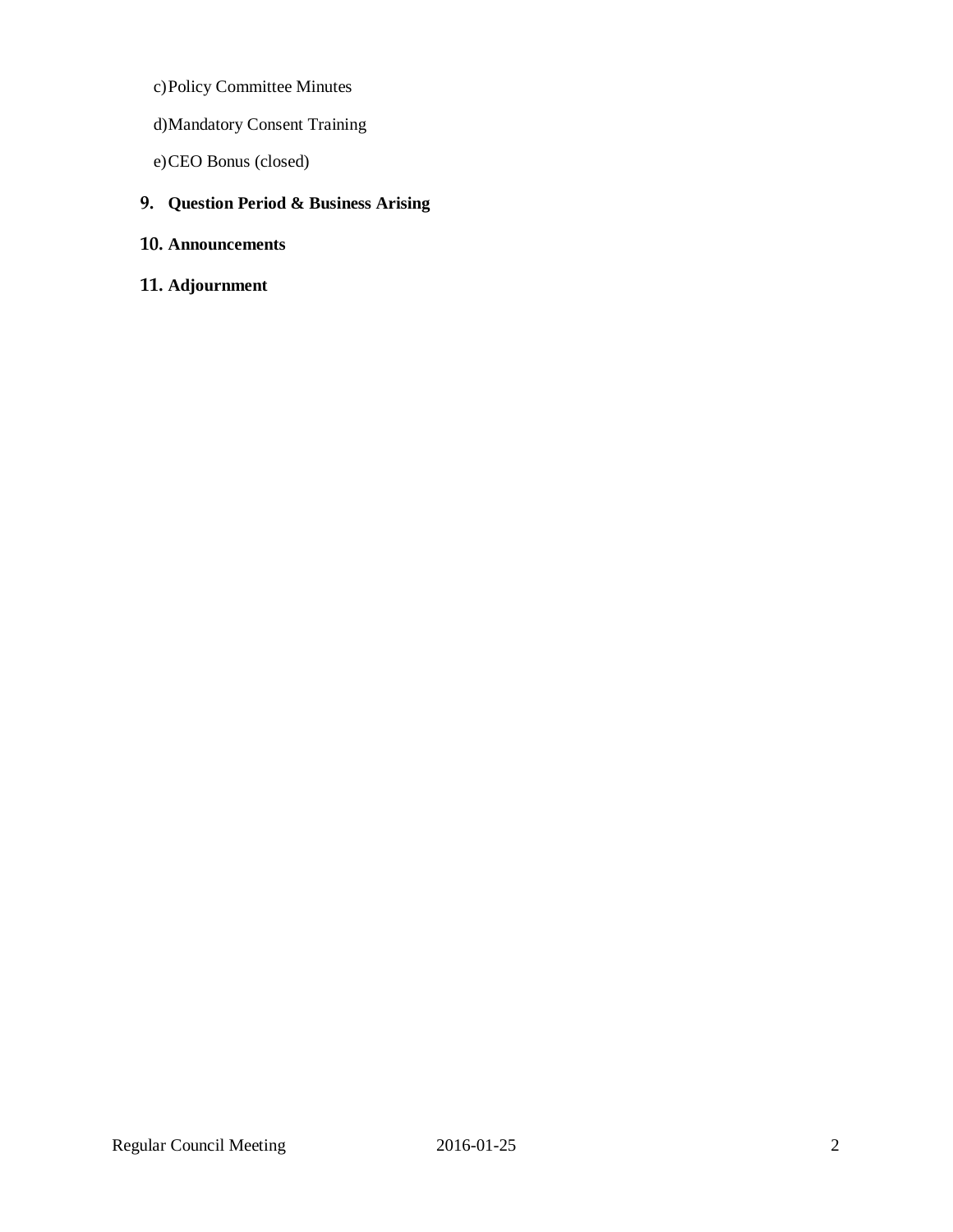- c)Policy Committee Minutes
- d)Mandatory Consent Training
- e)CEO Bonus (closed)

# **9. Question Period & Business Arising**

- **10. Announcements**
- **11. Adjournment**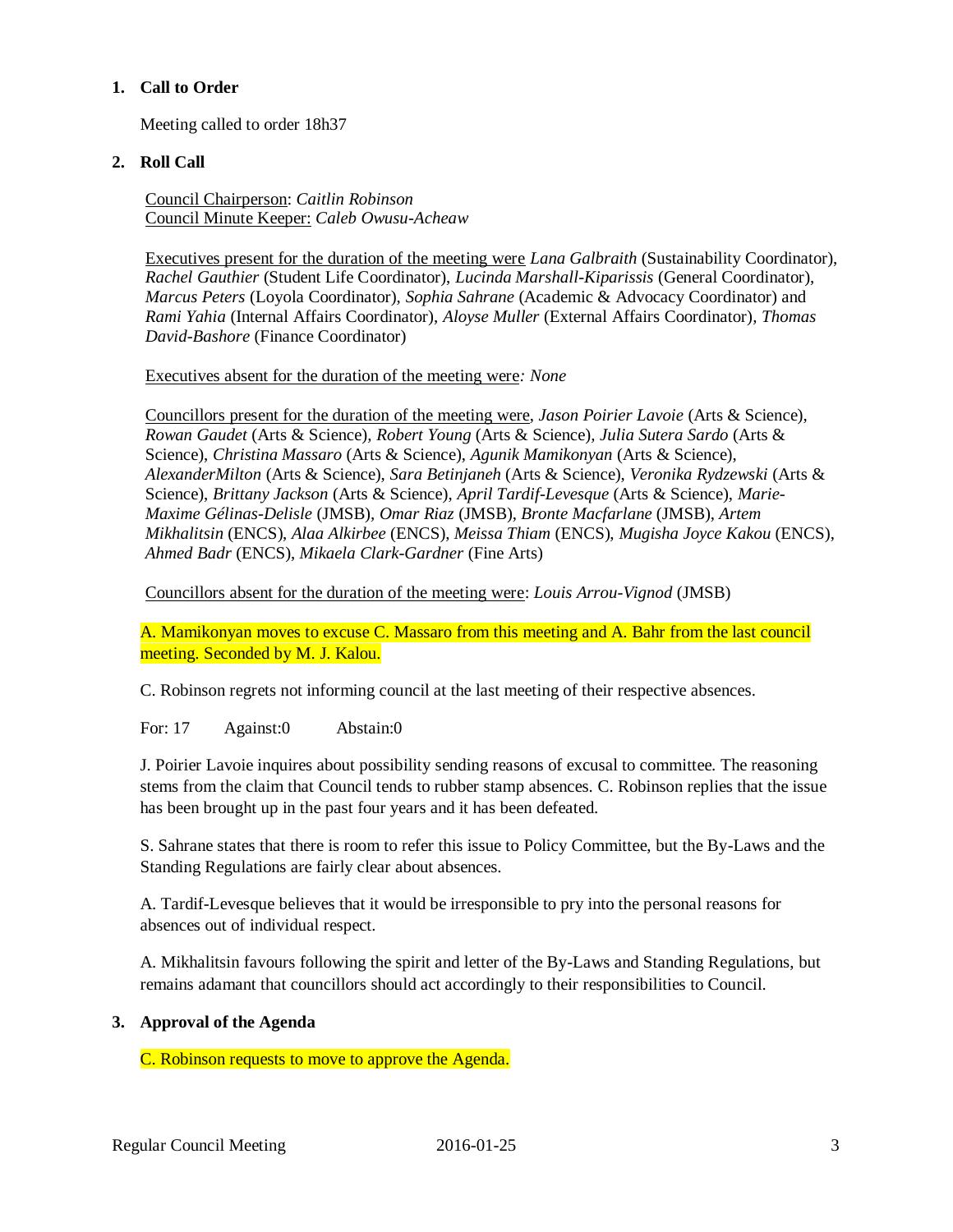## **1. Call to Order**

Meeting called to order 18h37

# **2. Roll Call**

Council Chairperson: *Caitlin Robinson* Council Minute Keeper: *Caleb Owusu-Acheaw*

Executives present for the duration of the meeting were *Lana Galbraith* (Sustainability Coordinator), *Rachel Gauthier* (Student Life Coordinator), *Lucinda Marshall-Kiparissis* (General Coordinator), *Marcus Peters* (Loyola Coordinator), *Sophia Sahrane* (Academic & Advocacy Coordinator) and *Rami Yahia* (Internal Affairs Coordinator), *Aloyse Muller* (External Affairs Coordinator)*, Thomas David-Bashore* (Finance Coordinator)

Executives absent for the duration of the meeting were*: None*

Councillors present for the duration of the meeting were, *Jason Poirier Lavoie* (Arts & Science), *Rowan Gaudet* (Arts & Science)*, Robert Young* (Arts & Science)*, Julia Sutera Sardo* (Arts & Science), *Christina Massaro* (Arts & Science), *Agunik Mamikonyan* (Arts & Science), *AlexanderMilton* (Arts & Science), *Sara Betinjaneh* (Arts & Science), *Veronika Rydzewski* (Arts & Science), *Brittany Jackson* (Arts & Science), *April Tardif-Levesque* (Arts & Science), *Marie-Maxime Gélinas-Delisle* (JMSB)*, Omar Riaz* (JMSB), *Bronte Macfarlane* (JMSB), *Artem Mikhalitsin* (ENCS), *Alaa Alkirbee* (ENCS), *Meissa Thiam* (ENCS), *Mugisha Joyce Kakou* (ENCS), *Ahmed Badr* (ENCS), *Mikaela Clark-Gardner* (Fine Arts)

Councillors absent for the duration of the meeting were: *Louis Arrou-Vignod* (JMSB)

A. Mamikonyan moves to excuse C. Massaro from this meeting and A. Bahr from the last council meeting. Seconded by M. J. Kalou.

C. Robinson regrets not informing council at the last meeting of their respective absences.

For: 17 Against:0 Abstain:0

J. Poirier Lavoie inquires about possibility sending reasons of excusal to committee. The reasoning stems from the claim that Council tends to rubber stamp absences. C. Robinson replies that the issue has been brought up in the past four years and it has been defeated.

S. Sahrane states that there is room to refer this issue to Policy Committee, but the By-Laws and the Standing Regulations are fairly clear about absences.

A. Tardif-Levesque believes that it would be irresponsible to pry into the personal reasons for absences out of individual respect.

A. Mikhalitsin favours following the spirit and letter of the By-Laws and Standing Regulations, but remains adamant that councillors should act accordingly to their responsibilities to Council.

# **3. Approval of the Agenda**

C. Robinson requests to move to approve the Agenda.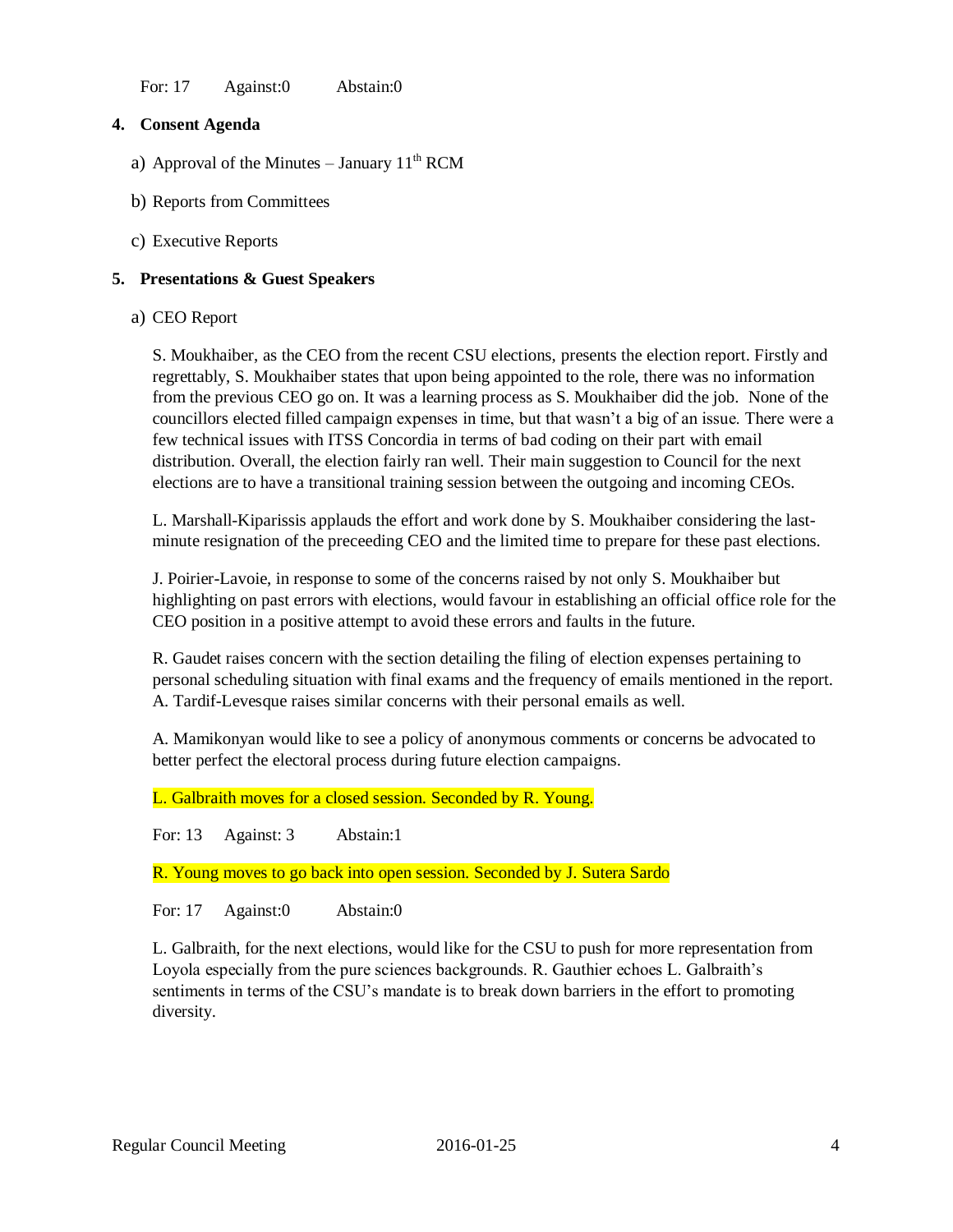For: 17 Against:0 Abstain:0

# **4. Consent Agenda**

- a) Approval of the Minutes January  $11<sup>th</sup> RCM$
- b) Reports from Committees
- c) Executive Reports

### **5. Presentations & Guest Speakers**

### a) CEO Report

S. Moukhaiber, as the CEO from the recent CSU elections, presents the election report. Firstly and regrettably, S. Moukhaiber states that upon being appointed to the role, there was no information from the previous CEO go on. It was a learning process as S. Moukhaiber did the job. None of the councillors elected filled campaign expenses in time, but that wasn't a big of an issue. There were a few technical issues with ITSS Concordia in terms of bad coding on their part with email distribution. Overall, the election fairly ran well. Their main suggestion to Council for the next elections are to have a transitional training session between the outgoing and incoming CEOs.

L. Marshall-Kiparissis applauds the effort and work done by S. Moukhaiber considering the lastminute resignation of the preceeding CEO and the limited time to prepare for these past elections.

J. Poirier-Lavoie, in response to some of the concerns raised by not only S. Moukhaiber but highlighting on past errors with elections, would favour in establishing an official office role for the CEO position in a positive attempt to avoid these errors and faults in the future.

R. Gaudet raises concern with the section detailing the filing of election expenses pertaining to personal scheduling situation with final exams and the frequency of emails mentioned in the report. A. Tardif-Levesque raises similar concerns with their personal emails as well.

A. Mamikonyan would like to see a policy of anonymous comments or concerns be advocated to better perfect the electoral process during future election campaigns.

L. Galbraith moves for a closed session. Seconded by R. Young.

For: 13 Against: 3 Abstain:1

R. Young moves to go back into open session. Seconded by J. Sutera Sardo

For: 17 Against:0 Abstain:0

L. Galbraith, for the next elections, would like for the CSU to push for more representation from Loyola especially from the pure sciences backgrounds. R. Gauthier echoes L. Galbraith's sentiments in terms of the CSU's mandate is to break down barriers in the effort to promoting diversity.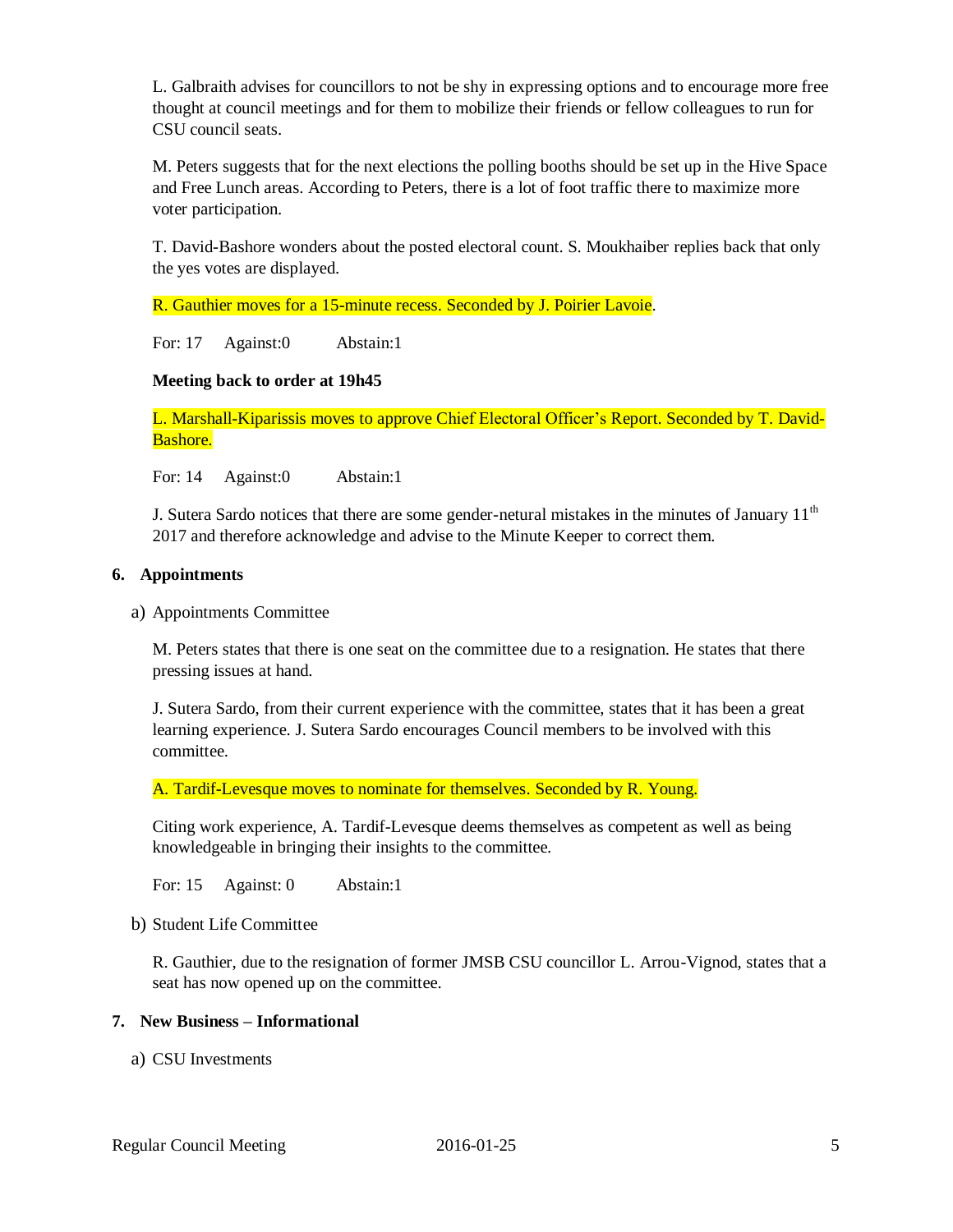L. Galbraith advises for councillors to not be shy in expressing options and to encourage more free thought at council meetings and for them to mobilize their friends or fellow colleagues to run for CSU council seats.

M. Peters suggests that for the next elections the polling booths should be set up in the Hive Space and Free Lunch areas. According to Peters, there is a lot of foot traffic there to maximize more voter participation.

T. David-Bashore wonders about the posted electoral count. S. Moukhaiber replies back that only the yes votes are displayed.

R. Gauthier moves for a 15-minute recess. Seconded by J. Poirier Lavoie.

For: 17 Against:0 Abstain:1

# **Meeting back to order at 19h45**

L. Marshall-Kiparissis moves to approve Chief Electoral Officer's Report. Seconded by T. David-Bashore.

For: 14 Against:0 Abstain:1

J. Sutera Sardo notices that there are some gender-netural mistakes in the minutes of January  $11<sup>th</sup>$ 2017 and therefore acknowledge and advise to the Minute Keeper to correct them.

### **6. Appointments**

a) Appointments Committee

M. Peters states that there is one seat on the committee due to a resignation. He states that there pressing issues at hand.

J. Sutera Sardo, from their current experience with the committee, states that it has been a great learning experience. J. Sutera Sardo encourages Council members to be involved with this committee.

A. Tardif-Levesque moves to nominate for themselves. Seconded by R. Young.

Citing work experience, A. Tardif-Levesque deems themselves as competent as well as being knowledgeable in bringing their insights to the committee.

For: 15 Against: 0 Abstain:1

b) Student Life Committee

R. Gauthier, due to the resignation of former JMSB CSU councillor L. Arrou-Vignod, states that a seat has now opened up on the committee.

#### **7. New Business – Informational**

a) CSU Investments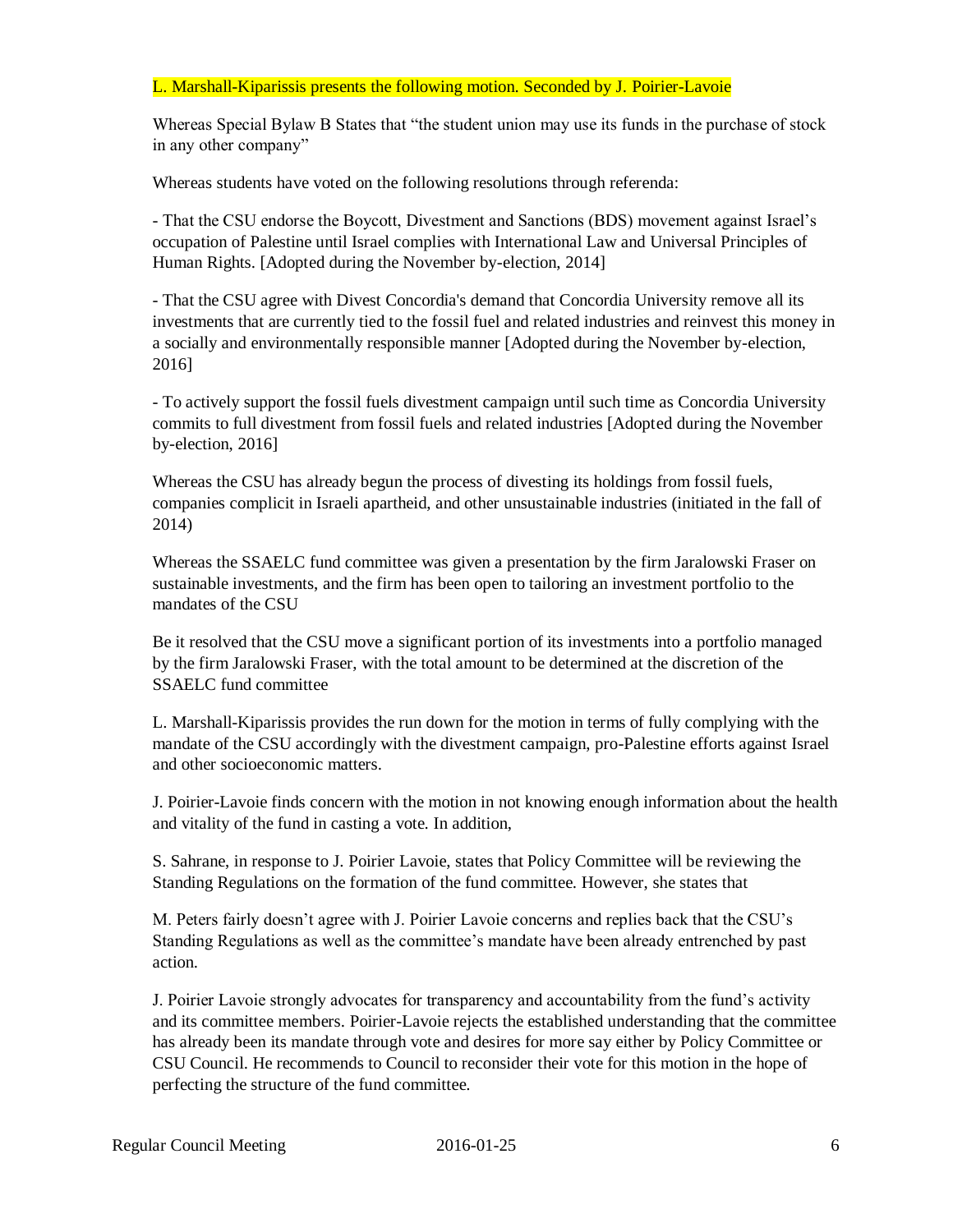## L. Marshall-Kiparissis presents the following motion. Seconded by J. Poirier-Lavoie

Whereas Special Bylaw B States that "the student union may use its funds in the purchase of stock in any other company"

Whereas students have voted on the following resolutions through referenda:

- That the CSU endorse the Boycott, Divestment and Sanctions (BDS) movement against Israel's occupation of Palestine until Israel complies with International Law and Universal Principles of Human Rights. [Adopted during the November by-election, 2014]

- That the CSU agree with Divest Concordia's demand that Concordia University remove all its investments that are currently tied to the fossil fuel and related industries and reinvest this money in a socially and environmentally responsible manner [Adopted during the November by-election, 2016]

- To actively support the fossil fuels divestment campaign until such time as Concordia University commits to full divestment from fossil fuels and related industries [Adopted during the November by-election, 2016]

Whereas the CSU has already begun the process of divesting its holdings from fossil fuels, companies complicit in Israeli apartheid, and other unsustainable industries (initiated in the fall of 2014)

Whereas the SSAELC fund committee was given a presentation by the firm Jaralowski Fraser on sustainable investments, and the firm has been open to tailoring an investment portfolio to the mandates of the CSU

Be it resolved that the CSU move a significant portion of its investments into a portfolio managed by the firm Jaralowski Fraser, with the total amount to be determined at the discretion of the SSAELC fund committee

L. Marshall-Kiparissis provides the run down for the motion in terms of fully complying with the mandate of the CSU accordingly with the divestment campaign, pro-Palestine efforts against Israel and other socioeconomic matters.

J. Poirier-Lavoie finds concern with the motion in not knowing enough information about the health and vitality of the fund in casting a vote. In addition,

S. Sahrane, in response to J. Poirier Lavoie, states that Policy Committee will be reviewing the Standing Regulations on the formation of the fund committee. However, she states that

M. Peters fairly doesn't agree with J. Poirier Lavoie concerns and replies back that the CSU's Standing Regulations as well as the committee's mandate have been already entrenched by past action.

J. Poirier Lavoie strongly advocates for transparency and accountability from the fund's activity and its committee members. Poirier-Lavoie rejects the established understanding that the committee has already been its mandate through vote and desires for more say either by Policy Committee or CSU Council. He recommends to Council to reconsider their vote for this motion in the hope of perfecting the structure of the fund committee.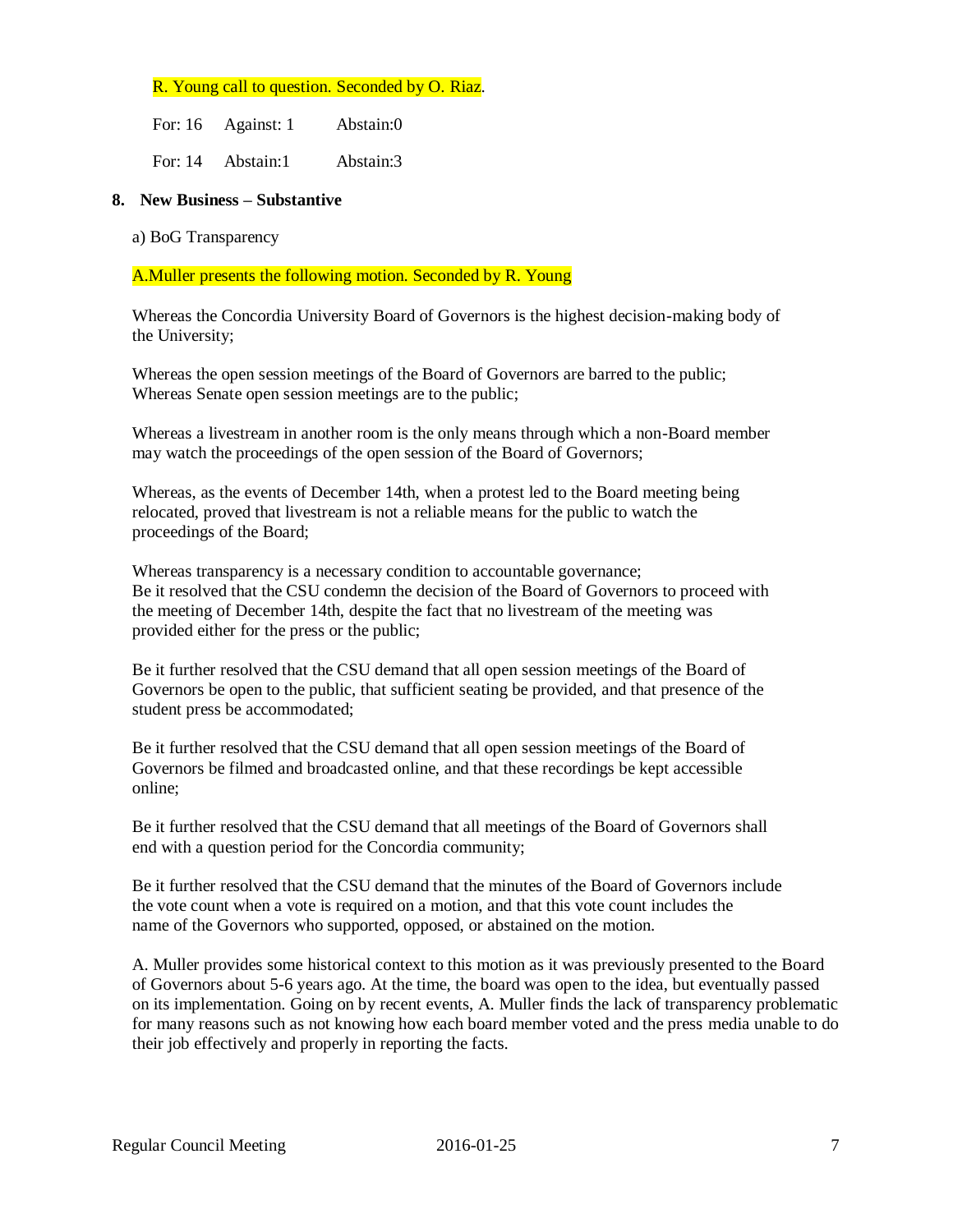### R. Young call to question. Seconded by O. Riaz.

| For: 16 | Against: 1 | Abstain:0 |
|---------|------------|-----------|
| For: 14 | Abstain:1  | Abstain:3 |

#### **8. New Business – Substantive**

a) BoG Transparency

A.Muller presents the following motion. Seconded by R. Young

Whereas the Concordia University Board of Governors is the highest decision-making body of the University;

Whereas the open session meetings of the Board of Governors are barred to the public; Whereas Senate open session meetings are to the public;

Whereas a livestream in another room is the only means through which a non-Board member may watch the proceedings of the open session of the Board of Governors;

Whereas, as the events of December 14th, when a protest led to the Board meeting being relocated, proved that livestream is not a reliable means for the public to watch the proceedings of the Board;

Whereas transparency is a necessary condition to accountable governance; Be it resolved that the CSU condemn the decision of the Board of Governors to proceed with the meeting of December 14th, despite the fact that no livestream of the meeting was provided either for the press or the public;

Be it further resolved that the CSU demand that all open session meetings of the Board of Governors be open to the public, that sufficient seating be provided, and that presence of the student press be accommodated;

Be it further resolved that the CSU demand that all open session meetings of the Board of Governors be filmed and broadcasted online, and that these recordings be kept accessible online;

Be it further resolved that the CSU demand that all meetings of the Board of Governors shall end with a question period for the Concordia community;

Be it further resolved that the CSU demand that the minutes of the Board of Governors include the vote count when a vote is required on a motion, and that this vote count includes the name of the Governors who supported, opposed, or abstained on the motion.

A. Muller provides some historical context to this motion as it was previously presented to the Board of Governors about 5-6 years ago. At the time, the board was open to the idea, but eventually passed on its implementation. Going on by recent events, A. Muller finds the lack of transparency problematic for many reasons such as not knowing how each board member voted and the press media unable to do their job effectively and properly in reporting the facts.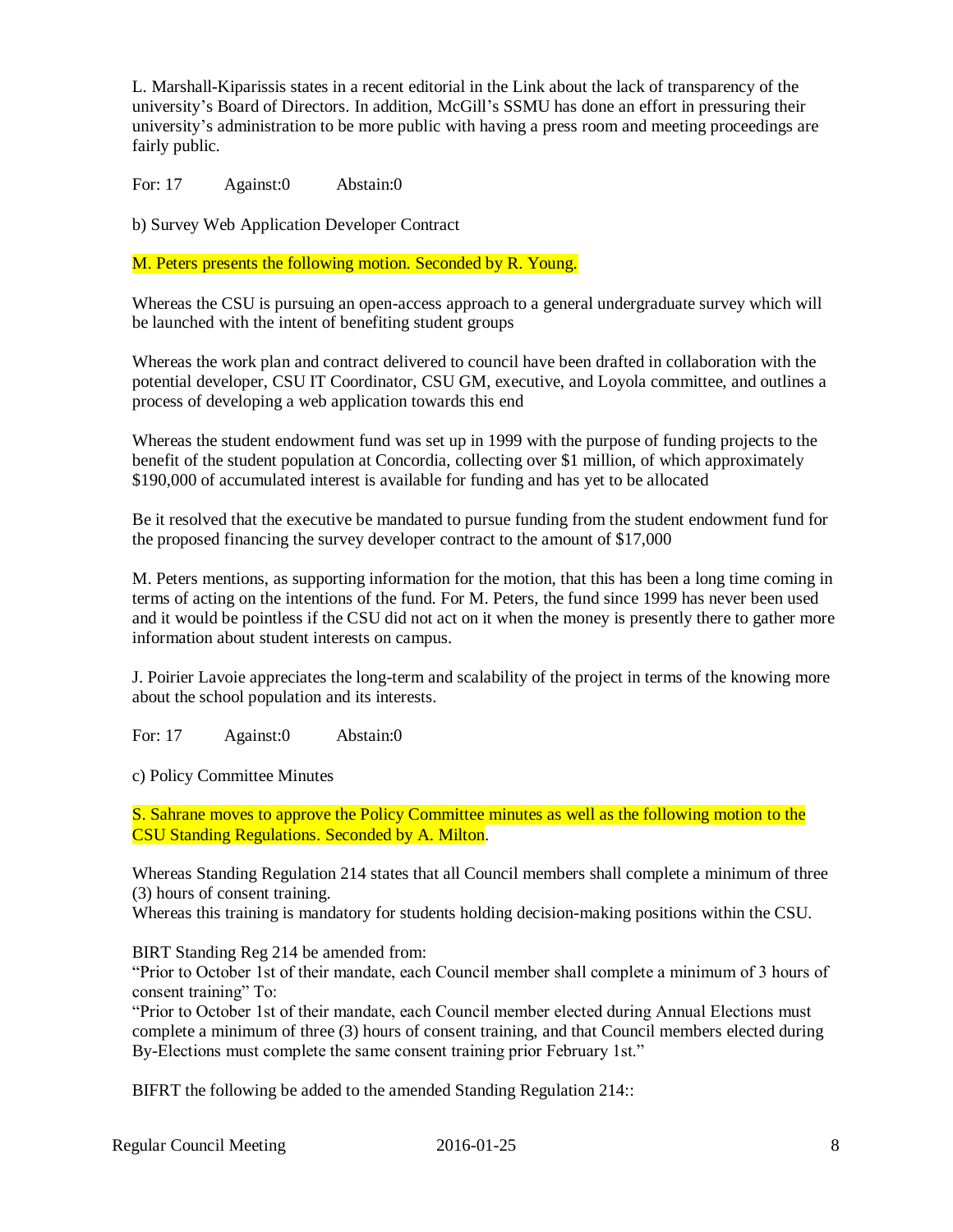L. Marshall-Kiparissis states in a recent editorial in the Link about the lack of transparency of the university's Board of Directors. In addition, McGill's SSMU has done an effort in pressuring their university's administration to be more public with having a press room and meeting proceedings are fairly public.

For: 17 Against:0 Abstain:0

b) Survey Web Application Developer Contract

M. Peters presents the following motion. Seconded by R. Young.

Whereas the CSU is pursuing an open-access approach to a general undergraduate survey which will be launched with the intent of benefiting student groups

Whereas the work plan and contract delivered to council have been drafted in collaboration with the potential developer, CSU IT Coordinator, CSU GM, executive, and Loyola committee, and outlines a process of developing a web application towards this end

Whereas the student endowment fund was set up in 1999 with the purpose of funding projects to the benefit of the student population at Concordia, collecting over \$1 million, of which approximately \$190,000 of accumulated interest is available for funding and has yet to be allocated

Be it resolved that the executive be mandated to pursue funding from the student endowment fund for the proposed financing the survey developer contract to the amount of \$17,000

M. Peters mentions, as supporting information for the motion, that this has been a long time coming in terms of acting on the intentions of the fund. For M. Peters, the fund since 1999 has never been used and it would be pointless if the CSU did not act on it when the money is presently there to gather more information about student interests on campus.

J. Poirier Lavoie appreciates the long-term and scalability of the project in terms of the knowing more about the school population and its interests.

For: 17 Against:0 Abstain:0

c) Policy Committee Minutes

S. Sahrane moves to approve the Policy Committee minutes as well as the following motion to the CSU Standing Regulations. Seconded by A. Milton.

Whereas Standing Regulation 214 states that all Council members shall complete a minimum of three (3) hours of consent training.

Whereas this training is mandatory for students holding decision-making positions within the CSU.

BIRT Standing Reg 214 be amended from:

"Prior to October 1st of their mandate, each Council member shall complete a minimum of 3 hours of consent training" To:

"Prior to October 1st of their mandate, each Council member elected during Annual Elections must complete a minimum of three (3) hours of consent training, and that Council members elected during By-Elections must complete the same consent training prior February 1st."

BIFRT the following be added to the amended Standing Regulation 214::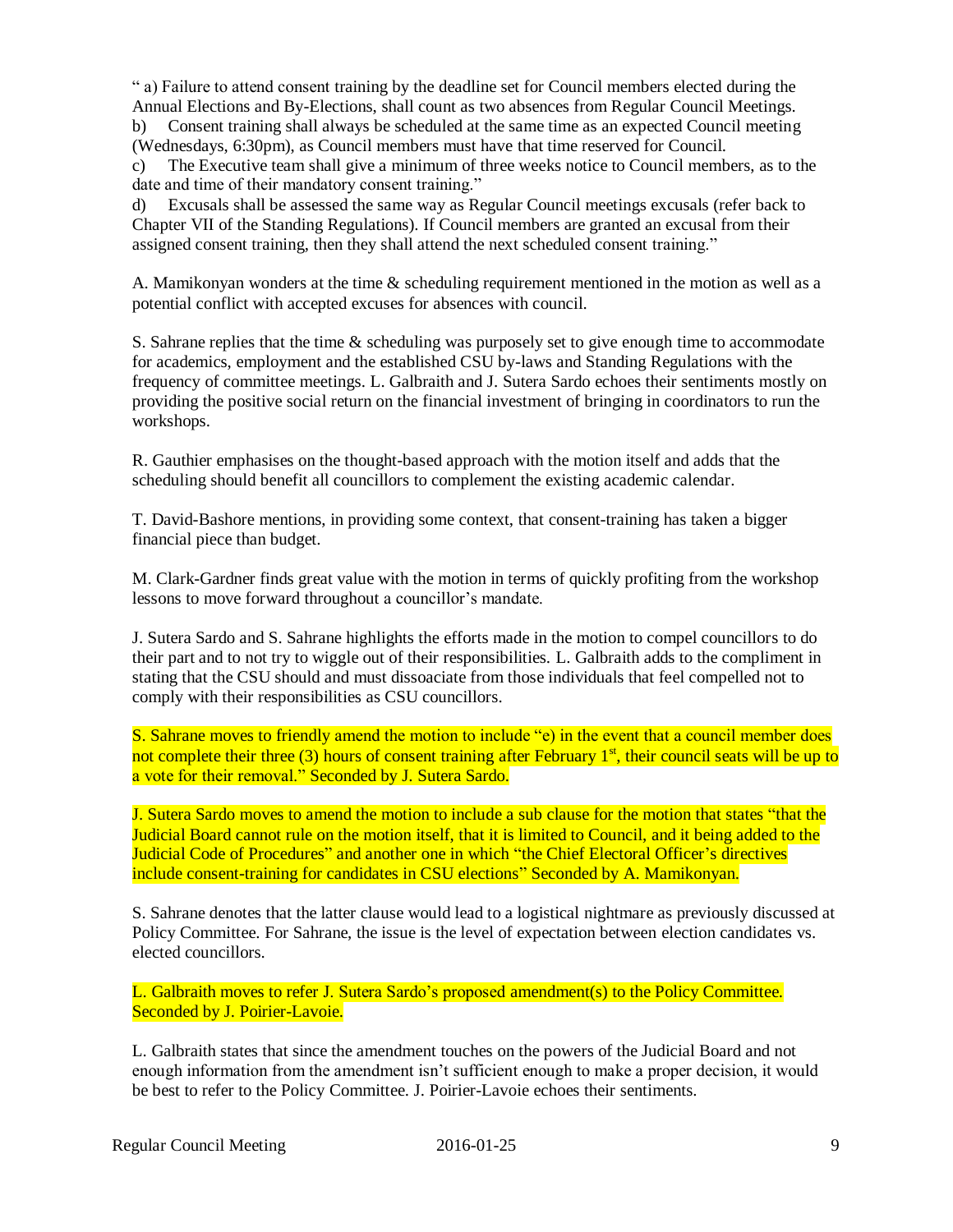" a) Failure to attend consent training by the deadline set for Council members elected during the Annual Elections and By-Elections, shall count as two absences from Regular Council Meetings. b) Consent training shall always be scheduled at the same time as an expected Council meeting (Wednesdays, 6:30pm), as Council members must have that time reserved for Council.

c) The Executive team shall give a minimum of three weeks notice to Council members, as to the date and time of their mandatory consent training."

d) Excusals shall be assessed the same way as Regular Council meetings excusals (refer back to Chapter VII of the Standing Regulations). If Council members are granted an excusal from their assigned consent training, then they shall attend the next scheduled consent training."

A. Mamikonyan wonders at the time & scheduling requirement mentioned in the motion as well as a potential conflict with accepted excuses for absences with council.

S. Sahrane replies that the time & scheduling was purposely set to give enough time to accommodate for academics, employment and the established CSU by-laws and Standing Regulations with the frequency of committee meetings. L. Galbraith and J. Sutera Sardo echoes their sentiments mostly on providing the positive social return on the financial investment of bringing in coordinators to run the workshops.

R. Gauthier emphasises on the thought-based approach with the motion itself and adds that the scheduling should benefit all councillors to complement the existing academic calendar.

T. David-Bashore mentions, in providing some context, that consent-training has taken a bigger financial piece than budget.

M. Clark-Gardner finds great value with the motion in terms of quickly profiting from the workshop lessons to move forward throughout a councillor's mandate.

J. Sutera Sardo and S. Sahrane highlights the efforts made in the motion to compel councillors to do their part and to not try to wiggle out of their responsibilities. L. Galbraith adds to the compliment in stating that the CSU should and must dissoaciate from those individuals that feel compelled not to comply with their responsibilities as CSU councillors.

S. Sahrane moves to friendly amend the motion to include "e) in the event that a council member does not complete their three (3) hours of consent training after February  $1<sup>st</sup>$ , their council seats will be up to a vote for their removal." Seconded by J. Sutera Sardo.

J. Sutera Sardo moves to amend the motion to include a sub clause for the motion that states "that the Judicial Board cannot rule on the motion itself, that it is limited to Council, and it being added to the Judicial Code of Procedures" and another one in which "the Chief Electoral Officer's directives include consent-training for candidates in CSU elections" Seconded by A. Mamikonyan.

S. Sahrane denotes that the latter clause would lead to a logistical nightmare as previously discussed at Policy Committee. For Sahrane, the issue is the level of expectation between election candidates vs. elected councillors.

L. Galbraith moves to refer J. Sutera Sardo's proposed amendment(s) to the Policy Committee. Seconded by J. Poirier-Lavoie.

L. Galbraith states that since the amendment touches on the powers of the Judicial Board and not enough information from the amendment isn't sufficient enough to make a proper decision, it would be best to refer to the Policy Committee. J. Poirier-Lavoie echoes their sentiments.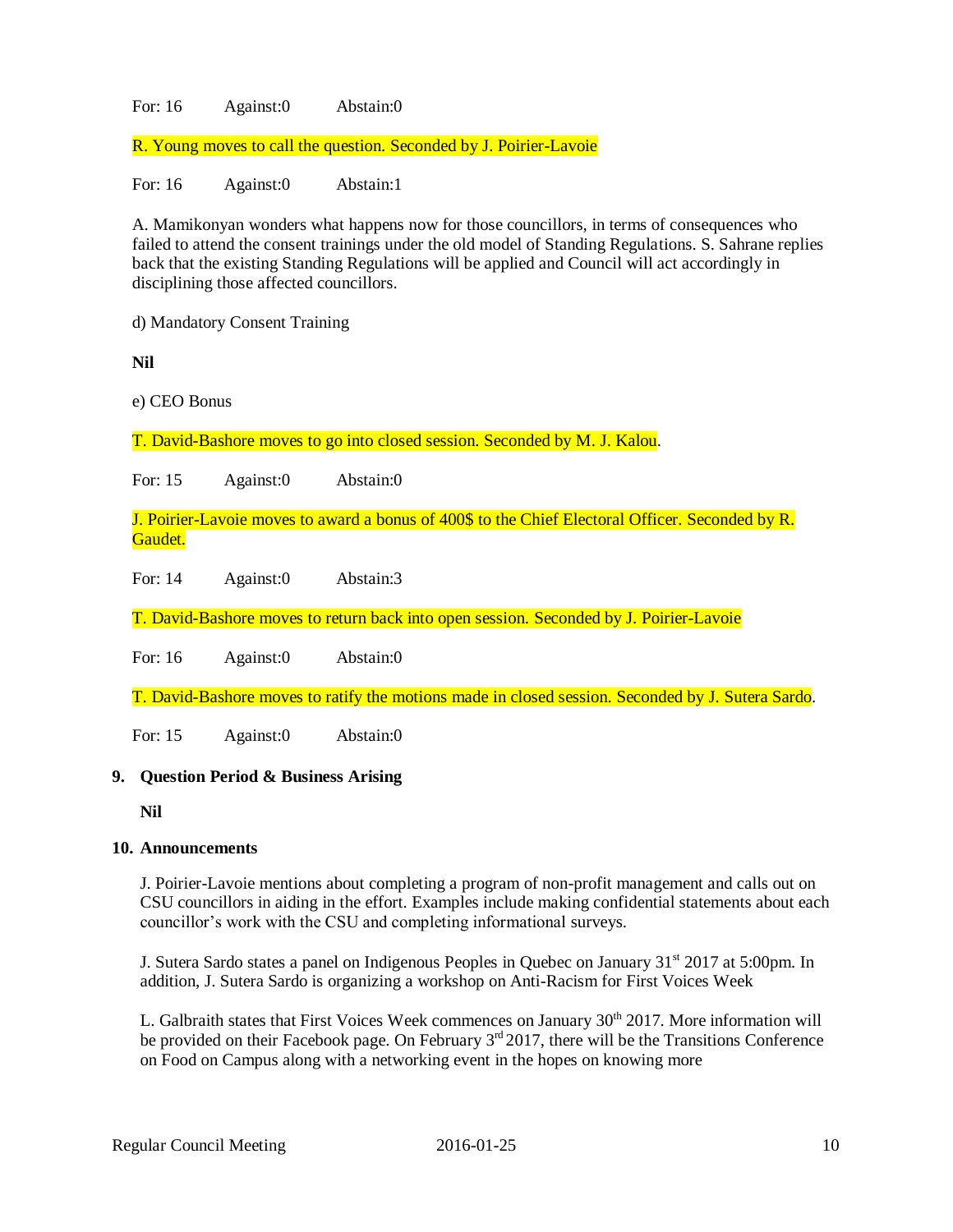### For: 16 Against:0 Abstain:0

R. Young moves to call the question. Seconded by J. Poirier-Lavoie

For: 16 Against:0 Abstain:1

A. Mamikonyan wonders what happens now for those councillors, in terms of consequences who failed to attend the consent trainings under the old model of Standing Regulations. S. Sahrane replies back that the existing Standing Regulations will be applied and Council will act accordingly in disciplining those affected councillors.

d) Mandatory Consent Training

**Nil**

e) CEO Bonus

T. David-Bashore moves to go into closed session. Seconded by M. J. Kalou.

For: 15 Against:0 Abstain:0

J. Poirier-Lavoie moves to award a bonus of 400\$ to the Chief Electoral Officer. Seconded by R. Gaudet.

For: 14 Against:0 Abstain:3

T. David-Bashore moves to return back into open session. Seconded by J. Poirier-Lavoie

For: 16 Against:0 Abstain:0

T. David-Bashore moves to ratify the motions made in closed session. Seconded by J. Sutera Sardo.

For: 15 Against:0 Abstain:0

#### **9. Question Period & Business Arising**

**Nil**

#### **10. Announcements**

J. Poirier-Lavoie mentions about completing a program of non-profit management and calls out on CSU councillors in aiding in the effort. Examples include making confidential statements about each councillor's work with the CSU and completing informational surveys.

J. Sutera Sardo states a panel on Indigenous Peoples in Quebec on January 31<sup>st</sup> 2017 at 5:00pm. In addition, J. Sutera Sardo is organizing a workshop on Anti-Racism for First Voices Week

L. Galbraith states that First Voices Week commences on January 30<sup>th</sup> 2017. More information will be provided on their Facebook page. On February 3<sup>rd</sup> 2017, there will be the Transitions Conference on Food on Campus along with a networking event in the hopes on knowing more